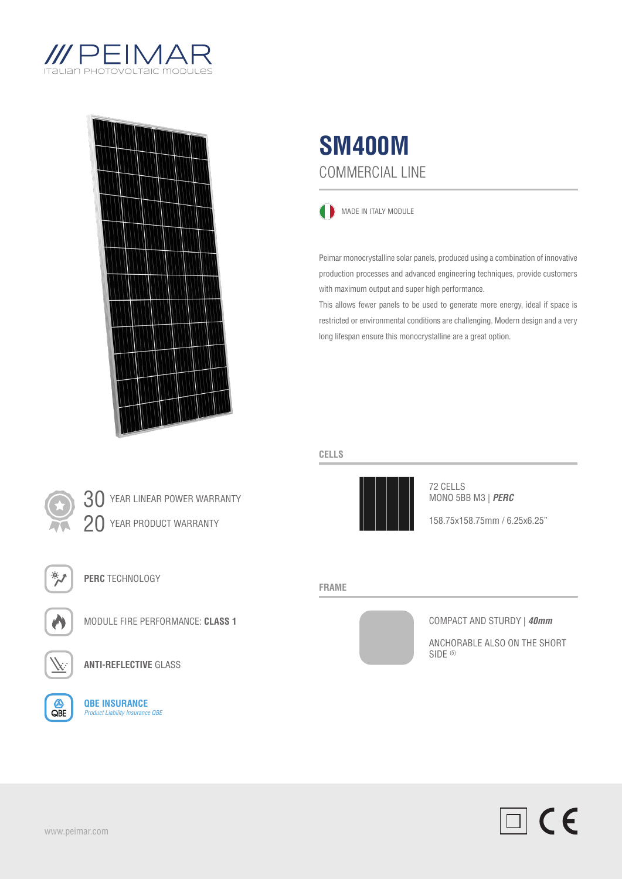





MADE IN ITALY MODULE

Peimar monocrystalline solar panels, produced using a combination of innovative production processes and advanced engineering techniques, provide customers with maximum output and super high performance.

This allows fewer panels to be used to generate more energy, ideal if space is restricted or environmental conditions are challenging. Modern design and a very long lifespan ensure this monocrystalline are a great option.

## **CELLS**



72 CELLS MONO 5BB M3 | *PERC*

158.75x158.75mm / 6.25x6.25"

#### **FRAME**



COMPACT AND STURDY | *40mm*

ANCHORABLE ALSO ON THE SHORT SIDE (5)







**PERC** TECHNOLOGY



MODULE FIRE PERFORMANCE: **CLASS 1**



 $\bigotimes$ 

**ANTI-REFLECTIVE** GLASS

**QBE INSURANCE** *Product Liability Insurance QBE*